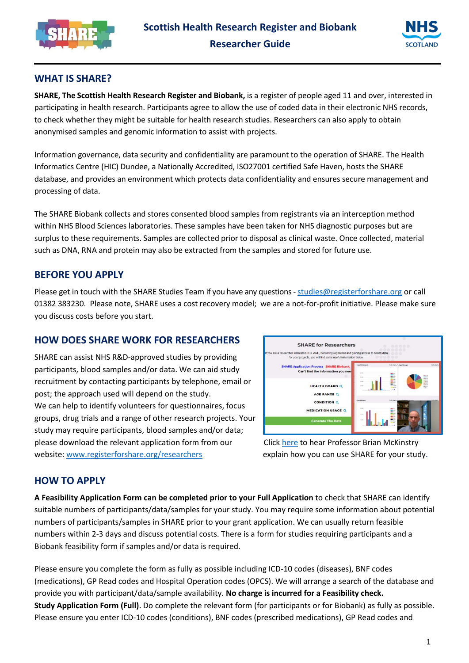



## **WHAT IS SHARE?**

**SHARE, The Scottish Health Research Register and Biobank,** is a register of people aged 11 and over, interested in participating in health research. Participants agree to allow the use of coded data in their electronic NHS records, to check whether they might be suitable for health research studies. Researchers can also apply to obtain anonymised samples and genomic information to assist with projects.

Information governance, data security and confidentiality are paramount to the operation of SHARE. The Health Informatics Centre (HIC) Dundee, a Nationally Accredited, ISO27001 certified Safe Haven, hosts the SHARE database, and provides an environment which protects data confidentiality and ensures secure management and processing of data.

The SHARE Biobank collects and stores consented blood samples from registrants via an interception method within NHS Blood Sciences laboratories. These samples have been taken for NHS diagnostic purposes but are surplus to these requirements. Samples are collected prior to disposal as clinical waste. Once collected, material such as DNA, RNA and protein may also be extracted from the samples and stored for future use.

## **BEFORE YOU APPLY**

Please get in touch with the SHARE Studies Team if you have any questions - [studies@registerforshare.org](mailto:studies@registerforshare.org) or call 01382 383230. Please note, SHARE uses a cost recovery model; we are a not-for-profit initiative. Please make sure you discuss costs before you start.

## **HOW DOES SHARE WORK FOR RESEARCHERS**

SHARE can assist NHS R&D-approved studies by providing participants, blood samples and/or data. We can aid study recruitment by contacting participants by telephone, email or post; the approach used will depend on the study. We can help to identify volunteers for questionnaires, focus groups, drug trials and a range of other research projects. Your study may require participants, blood samples and/or data; please download the relevant application form from our Click [here](https://youtu.be/5VUG0z7OshM) to hear Professor Brian McKinstry website: [www.registerforshare.org/researchers](http://www.registerforshare.org/researchers) explain how you can use SHARE for your study.



## **HOW TO APPLY**

**A Feasibility Application Form can be completed prior to your Full Application** to check that SHARE can identify suitable numbers of participants/data/samples for your study. You may require some information about potential numbers of participants/samples in SHARE prior to your grant application. We can usually return feasible numbers within 2-3 days and discuss potential costs. There is a form for studies requiring participants and a Biobank feasibility form if samples and/or data is required.

Please ensure you complete the form as fully as possible including ICD-10 codes (diseases), BNF codes (medications), GP Read codes and Hospital Operation codes (OPCS). We will arrange a search of the database and provide you with participant/data/sample availability. **No charge is incurred for a Feasibility check. Study Application Form (Full)**. Do complete the relevant form (for participants or for Biobank) as fully as possible. Please ensure you enter ICD-10 codes (conditions), BNF codes (prescribed medications), GP Read codes and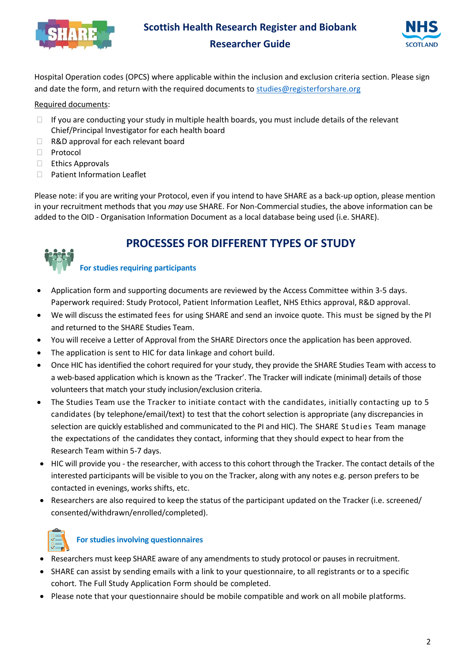

# **Scottish Health Research Register and Biobank Researcher Guide**



Hospital Operation codes (OPCS) where applicable within the inclusion and exclusion criteria section. Please sign and date the form, and return with the required documents t[o studies@registerforshare.org](mailto:studies@registerforshare.org)

#### Required documents:

- $\Box$  If you are conducting your study in multiple health boards, you must include details of the relevant Chief/Principal Investigator for each health board
- □ R&D approval for each relevant board
- □ Protocol
- $\Box$  Ethics Approvals
- □ Patient Information Leaflet

Please note: if you are writing your Protocol, even if you intend to have SHARE as a back-up option, please mention in your recruitment methods that you *may* use SHARE. For Non-Commercial studies, the above information can be added to the OID - Organisation Information Document as a local database being used (i.e. SHARE).

# **PROCESSES FOR DIFFERENT TYPES OF STUDY**

### **For studies requiring participants**

- Application form and supporting documents are reviewed by the Access Committee within 3-5 days. Paperwork required: Study Protocol, Patient Information Leaflet, NHS Ethics approval, R&D approval.
- We will discuss the estimated fees for using SHARE and send an invoice quote. This must be signed by the PI and returned to the SHARE Studies Team.
- You will receive a Letter of Approval from the SHARE Directors once the application has been approved.
- The application is sent to HIC for data linkage and cohort build.
- Once HIC has identified the cohort required for your study, they provide the SHARE Studies Team with access to a web-based application which is known as the 'Tracker'. The Tracker will indicate (minimal) details of those volunteers that match your study inclusion/exclusion criteria.
- The Studies Team use the Tracker to initiate contact with the candidates, initially contacting up to 5 candidates (by telephone/email/text) to test that the cohort selection is appropriate (any discrepancies in selection are quickly established and communicated to the PI and HIC). The SHARE Studies Team manage the expectations of the candidates they contact, informing that they should expect to hear from the Research Team within 5-7 days.
- HIC will provide you the researcher, with access to this cohort through the Tracker. The contact details of the interested participants will be visible to you on the Tracker, along with any notes e.g. person prefers to be contacted in evenings, works shifts, etc.
- Researchers are also required to keep the status of the participant updated on the Tracker (i.e. screened/ consented/withdrawn/enrolled/completed).



### **For studies involving questionnaires**

- Researchers must keep SHARE aware of any amendments to study protocol or pauses in recruitment.
- SHARE can assist by sending emails with a link to your questionnaire, to all registrants or to a specific cohort. The Full Study Application Form should be completed.
- Please note that your questionnaire should be mobile compatible and work on all mobile platforms.